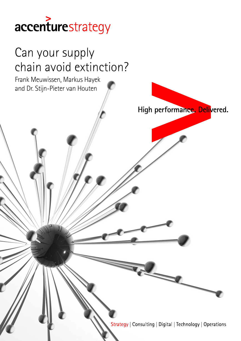## accenturestrategy

# Can your supply chain avoid extinction? Frank Meuwissen, Markus Hayek and Dr. Stijn-Pieter van HoutenHigh performance. Delivered. Strategy | Consulting | Digital | Technology | Operations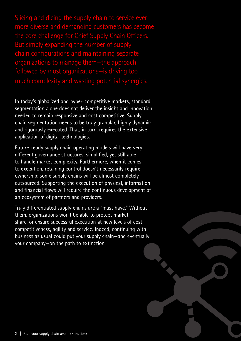Slicing and dicing the supply chain to service ever more diverse and demanding customers has become the core challenge for Chief Supply Chain Officers. But simply expanding the number of supply chain configurations and maintaining separate organizations to manage them-the approa followed by most organizations—is driving too much complexity and wasting potential synergies.

In today's globalized and hyper-competitive markets, standard segmentation alone does not deliver the insight and innovation needed to remain responsive and cost competitive. Supply chain segmentation needs to be truly granular, highly dynamic and rigorously executed. That, in turn, requires the extensive application of digital technologies.

Future-ready supply chain operating models will have very different governance structures: simplified, yet still able to handle market complexity. Furthermore, when it comes to execution, retaining control doesn't necessarily require ownership: some supply chains will be almost completely outsourced. Supporting the execution of physical, information and financial flows will require the continuous development of an ecosystem of partners and providers.

Truly differentiated supply chains are a "must have." Without them, organizations won't be able to protect market share, or ensure successful execution at new levels of cost competitiveness, agility and service. Indeed, continuing with business as usual could put your supply chain—and eventually your company—on the path to extinction.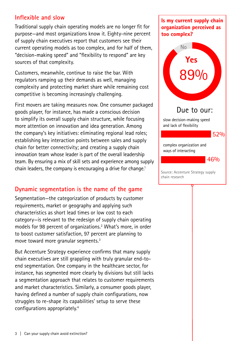#### **Inflexible and slow**

Traditional supply chain operating models are no longer fit for purpose—and most organizations know it. Eighty-nine percent of supply chain executives report that customers see their current operating models as too complex, and for half of them, "decision-making speed" and "flexibility to respond" are key sources of that complexity.

Customers, meanwhile, continue to raise the bar. With regulators ramping up their demands as well, managing complexity and protecting market share while remaining cost competitive is becoming increasingly challenging.

First movers are taking measures now. One consumer packaged goods player, for instance, has made a conscious decision to simplify its overall supply chain structure, while focusing more attention on innovation and idea generation. Among the company's key initiatives: eliminating regional lead roles; establishing key interaction points between sales and supply chain for better connectivity; and creating a supply chain innovation team whose leader is part of the overall leadership team. By ensuring a mix of skill sets and experience among supply chain leaders, the company is encouraging a drive for change.<sup>1</sup>

#### **Dynamic segmentation is the name of the game**

Segmentation—the categorization of products by customer requirements, market or geography and applying such characteristics as short lead times or low cost to each category—is relevant to the redesign of supply chain operating models for 98 percent of organizations.<sup>2</sup> What's more, in order to boost customer satisfaction, 97 percent are planning to move toward more granular segments.3

But Accenture Strategy experience confirms that many supply chain executives are still grappling with truly granular end-toend segmentation. One company in the healthcare sector, for instance, has segmented more clearly by divisions but still lacks a segmentation approach that relates to customer requirements and market characteristics. Similarly, a consumer goods player, having defined a number of supply chain configurations, now struggles to re-shape its capabilities' setup to serve these configurations appropriately.4

#### Is my current supply chain organization perceived as too complex?



Source: Accenture Strategy supply chain research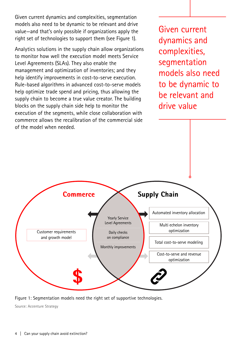Given current dynamics and complexities, segmentation models also need to be dynamic to be relevant and drive value—and that's only possible if organizations apply the right set of technologies to support them (see Figure 1).

Analytics solutions in the supply chain allow organizations to monitor how well the execution model meets Service Level Agreements (SLAs). They also enable the management and optimization of inventories; and they help identify improvements in cost-to-serve execution. Rule-based algorithms in advanced cost-to-serve models help optimize trade spend and pricing, thus allowing the supply chain to become a true value creator. The building blocks on the supply chain side help to monitor the execution of the segments, while close collaboration with commerce allows the recalibration of the commercial side of the model when needed.

Given current dynamics and complexities, segmentation models also need to be dynamic to be relevant and drive value



Figure 1: Segmentation models need the right set of supportive technologies.

Source: Accenture Strategy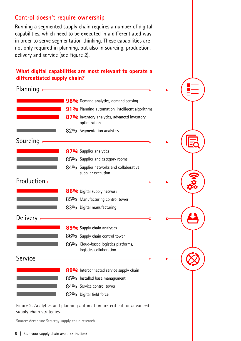#### **Control doesn't require ownership**

Running a segmented supply chain requires a number of digital capabilities, which need to be executed in a differentiated way in order to serve segmentation thinking. These capabilities are not only required in planning, but also in sourcing, production, delivery and service (see Figure 2).

#### What digital capabilities are most relevant to operate a differentiated supply chain?

| Planning          | п                                                               |
|-------------------|-----------------------------------------------------------------|
|                   | 98% Demand analytics, demand sensing                            |
|                   | 91% Planning automation, intelligent algorithms                 |
|                   | 87% Inventory analytics, advanced inventory<br>optimization     |
|                   | 82% Segmentation analytics                                      |
| Sourcing          | o                                                               |
|                   | 87% Supplier analytics                                          |
|                   | 85% Supplier and category rooms                                 |
|                   | 84% Supplier networks and collaborative<br>supplier execution   |
| <b>Production</b> | O                                                               |
|                   | 86% Digital supply network                                      |
|                   | 85% Manufacturing control tower                                 |
|                   | 83% Digital manufacturing                                       |
| Delivery          | п                                                               |
|                   | 89% Supply chain analytics                                      |
|                   | 86% Supply chain control tower                                  |
|                   | 86% Cloud-based logistics platforms,<br>logistics collaboration |
| <b>Service</b>    | О                                                               |
|                   | 89% Interconnected service supply chain                         |
|                   | 85% Installed base management                                   |
|                   | 84% Service control tower                                       |
|                   |                                                                 |

Figure 2: Analytics and planning automation are critical for advanced supply chain strategies.

Source: Accenture Strategy supply chain research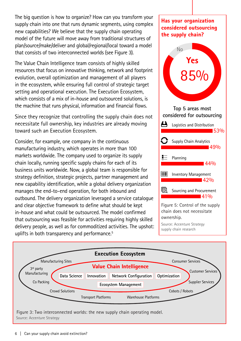The big question is how to organize? How can you transform your supply chain into one that runs dynamic segments, using complex new capabilities? We believe that the supply chain operating model of the future will move away from traditional structures of plan/source/make/deliver and global/regional/local toward a model that consists of two interconnected worlds (see Figure 3).

The Value Chain Intelligence team consists of highly skilled resources that focus on innovative thinking, network and footprint evolution, overall optimization and management of all players in the ecosystem, while ensuring full control of strategic target setting and operational execution. The Execution Ecosystem, which consists of a mix of in-house and outsourced solutions, is the machine that runs physical, information and financial flows.

Since they recognize that controlling the supply chain does not necessitate full ownership, key industries are already moving toward such an Execution Ecosystem.

Consider, for example, one company in the continuous manufacturing industry, which operates in more than 100 markets worldwide. The company used to organize its supply chain locally, running specific supply chains for each of its business units worldwide. Now, a global team is responsible for strategy definition, strategic projects, partner management and new capability identification, while a global delivery organization manages the end-to-end operation, for both inbound and outbound. The delivery organization leveraged a service catalogue and clear objective framework to define what should be kept in-house and what could be outsourced. The model confirmed that outsourcing was feasible for activities requiring highly skilled delivery people, as well as for commoditized activities. The upshot: uplifts in both transparency and performance.<sup>5</sup>

### Has your organization considered outsourcing the supply chain? No



Source: Accenture Strategy supply chain research



Figure 3: Two interconnected worlds: the new supply chain operating model. Source: Accenture Strategy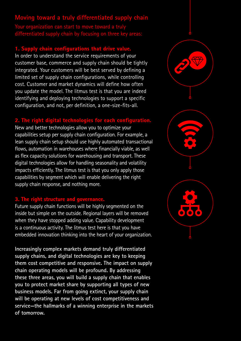#### **Moving toward a truly differentiated supply chain**

Your organization can start to move toward a truly differentiated supply chain by focusing on three key areas:

#### 1. Supply chain configurations that drive value.

In order to understand the service requirements of your customer base, commerce and supply chain should be tightly integrated. Your customers will be best served by defining a limited set of supply chain configurations, while controlling cost. Customer and market dynamics will define how often you update the model. The litmus test is that you are indeed identifying and deploying technologies to support a specific configuration, and not, per definition, a one-size-fits-all.

#### 2. The right digital technologies for each configuration.

New and better technologies allow you to optimize your capabilities setup per supply chain configuration. For example, a lean supply chain setup should use highly automated transactional flows, automation in warehouses where financially viable, as well as flex capacity solutions for warehousing and transport. These digital technologies allow for handling seasonality and volatility impacts efficiently. The litmus test is that you only apply those capabilities by segment which will enable delivering the right supply chain response, and nothing more.

#### 3. The right structure and governance

Future supply chain functions will be highly segmented on the inside but simple on the outside. Regional layers will be removed when they have stopped adding value. Capability development is a continuous activity. The litmus test here is that you have embedded innovation thinking into the heart of your organization.

**Increasingly complex markets demand truly differentiated supply chains, and digital technologies are key to keeping them cost competitive and responsive. The impact on supply chain operating models will be profound. By addressing these three areas, you will build a supply chain that enables you to protect market share by supporting all types of new business models. Far from going extinct, your supply chain will be operating at new levels of cost competitiveness and service—the hallmarks of a winning enterprise in the markets of tomorrow.**